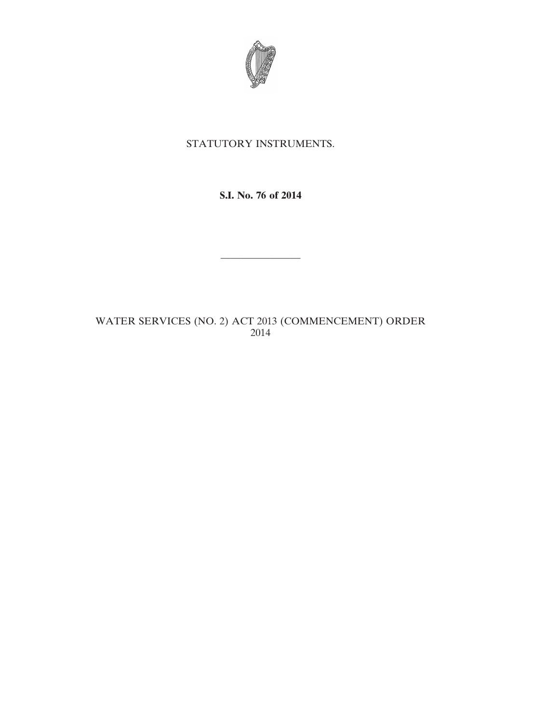

## STATUTORY INSTRUMENTS.

**S.I. No. 76 of 2014**

————————

WATER SERVICES (NO. 2) ACT 2013 (COMMENCEMENT) ORDER 2014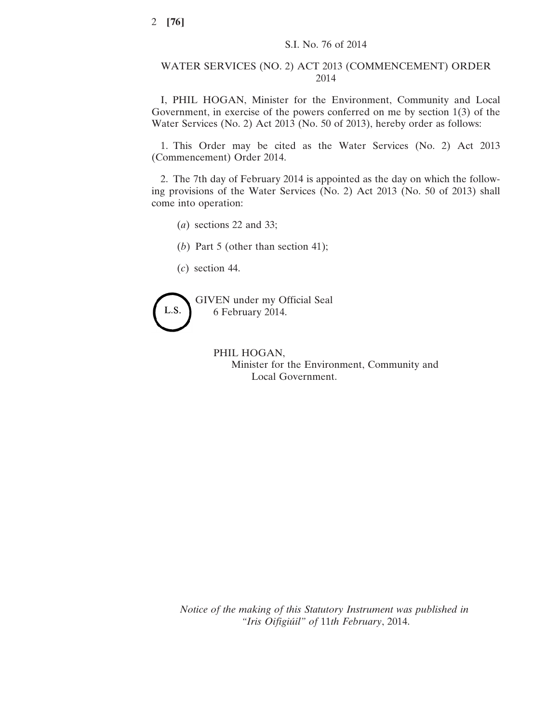## WATER SERVICES (NO. 2) ACT 2013 (COMMENCEMENT) ORDER 2014

I, PHIL HOGAN, Minister for the Environment, Community and Local Government, in exercise of the powers conferred on me by section 1(3) of the Water Services (No. 2) Act 2013 (No. 50 of 2013), hereby order as follows:

1. This Order may be cited as the Water Services (No. 2) Act 2013 (Commencement) Order 2014.

2. The 7th day of February 2014 is appointed as the day on which the following provisions of the Water Services (No. 2) Act 2013 (No. 50 of 2013) shall come into operation:

- (*a*) sections 22 and 33;
- (*b*) Part 5 (other than section 41);
- (*c*) section 44.



GIVEN under my Official Seal 6 February 2014.

> PHIL HOGAN, Minister for the Environment, Community and Local Government.

*Notice of the making of this Statutory Instrument was published in "Iris Oifigiúil" of* 11*th February*, 2014.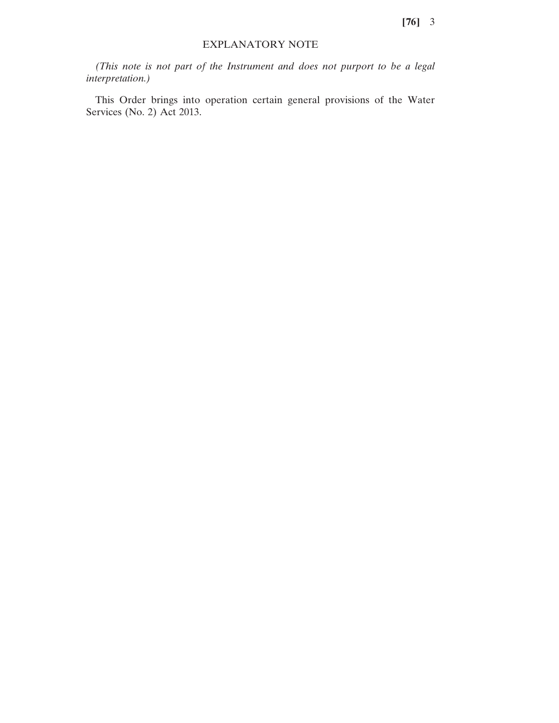## EXPLANATORY NOTE

*(This note is not part of the Instrument and does not purport to be a legal interpretation.)*

This Order brings into operation certain general provisions of the Water Services (No. 2) Act 2013.